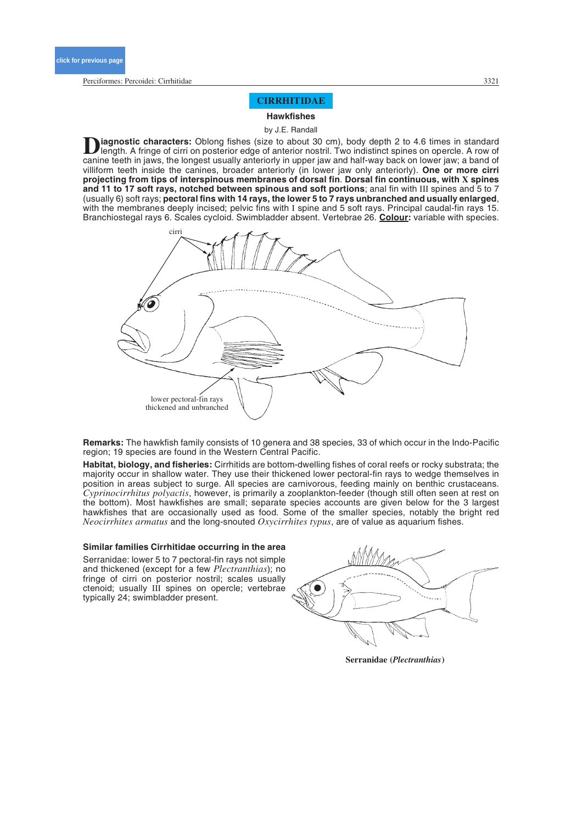Perciformes: Percoidei: Cirrhitidae 3321

# **CIRRHITIDAE**

**Hawkfishes**

by J.E. Randall

**D**iagnostic characters: Oblong fishes (size to about 30 cm), body depth 2 to 4.6 times in standard length. A fringe of cirri on posterior edge of anterior nostril. Two indistinct spines on opercle. A row of position to in canine teeth in jaws, the longest usually anteriorly in upper jaw and half-way back on lower jaw; a band of villiform teeth inside the canines, broader anteriorly (in lower jaw only anteriorly). **One or more cirri projecting from tips of interspinous membranes of dorsal fin**. **Dorsal fin continuous, with X spines and 11 to 17 soft rays, notched between spinous and soft portions**; anal fin with III spines and 5 to 7 (usually 6) soft rays; **pectoral fins with 14 rays, the lower 5 to 7 rays unbranched and usually enlarged**, with the membranes deeply incised; pelvic fins with I spine and 5 soft rays. Principal caudal-fin rays 15. Branchiostegal rays 6. Scales cycloid. Swimbladder absent. Vertebrae 26. **Colour:** variable with species.



**Remarks:** The hawkfish family consists of 10 genera and 38 species, 33 of which occur in the Indo-Pacific region; 19 species are found in the Western Central Pacific.

**Habitat, biology, and fisheries:** Cirrhitids are bottom-dwelling fishes of coral reefs or rocky substrata; the majority occur in shallow water. They use their thickened lower pectoral-fin rays to wedge themselves in position in areas subject to surge. All species are carnivorous, feeding mainly on benthic crustaceans. *Cyprinocirrhitus polyactis*, however, is primarily a zooplankton-feeder (though still often seen at rest on the bottom). Most hawkfishes are small; separate species accounts are given below for the 3 largest hawkfishes that are occasionally used as food. Some of the smaller species, notably the bright red *Neocirrhites armatus* and the long-snouted *Oxycirrhites typus*, are of value as aquarium fishes.

#### **Similar families Cirrhitidae occurring in the area**

Serranidae: lower 5 to 7 pectoral-fin rays not simple and thickened (except for a few *Plectranthias*); no fringe of cirri on posterior nostril; scales usually ctenoid; usually III spines on opercle; vertebrae typically 24; swimbladder present.



**Serranidae (***Plectranthias***)**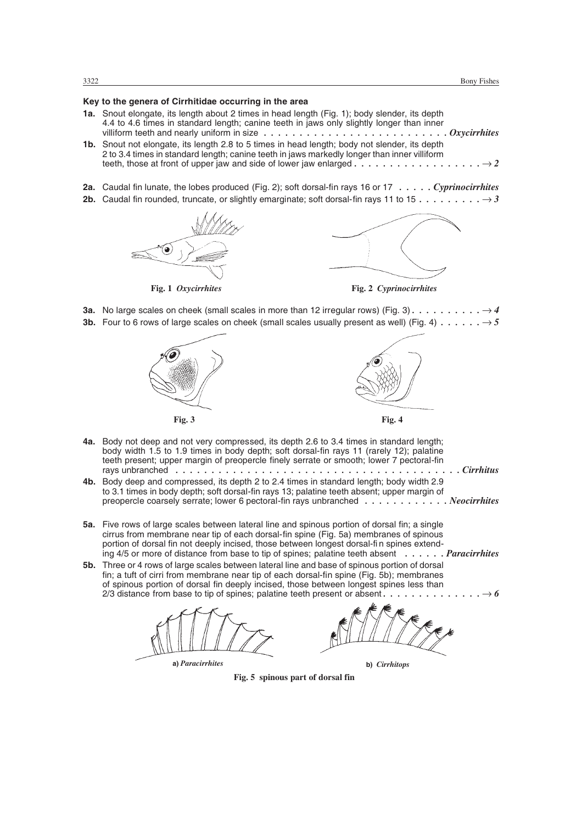# **Key to the genera of Cirrhitidae occurring in the area**

- **1a.** Snout elongate, its length about 2 times in head length (Fig. 1); body slender, its depth 4.4 to 4.6 times in standard length; canine teeth in jaws only slightly longer than inner villiform teeth and nearly uniform in size *. . . . . . . . . . . . . . . . . . . . . . . . . . Oxycirrhites*
- **1b.** Snout not elongate, its length 2.8 to 5 times in head length; body not slender, its depth 2 to 3.4 times in standard length; canine teeth in jaws markedly longer than inner villiform teeth, those at front of upper jaw and side of lower jaw enlarged *.................. 2*
- **2a.** Caudal fin lunate, the lobes produced (Fig. 2); soft dorsal-fin rays 16 or 17 *. . . . . Cyprinocirrhites*
- **2b.** Caudal fin rounded, truncate, or slightly emarginate; soft dorsal-fin rays 11 to 15 *......... 3*





**Fig. 1** *Oxycirrhites* **Fig. 2** *Cyprinocirrhites*

**3a.** No large scales on cheek (small scales in more than 12 irregular rows) (Fig. 3).  $\dots \dots \dots \longrightarrow 4$ **3b.** Four to 6 rows of large scales on cheek (small scales usually present as well) (Fig. 4)  $\dots \dots \rightarrow 5$ 









- **4a.** Body not deep and not very compressed, its depth 2.6 to 3.4 times in standard length; body width 1.5 to 1.9 times in body depth; soft dorsal-fin rays 11 (rarely 12); palatine teeth present; upper margin of preopercle finely serrate or smooth; lower 7 pectoral-fin rays unbranched *. . . . . . . . . . . . . . . . . . . . . . . . . . . . . . . . . . . . . . . . Cirrhitus*
- **4b.** Body deep and compressed, its depth 2 to 2.4 times in standard length; body width 2.9 to 3.1 times in body depth; soft dorsal-fin rays 13; palatine teeth absent; upper margin of preopercle coarsely serrate; lower 6 pectoral-fin rays unbranched *. . . . . . . . . . . . Neocirrhites*
- **5a.** Five rows of large scales between lateral line and spinous portion of dorsal fin; a single cirrus from membrane near tip of each dorsal-fin spine (Fig. 5a) membranes of spinous portion of dorsal fin not deeply incised, those between longest dorsal-fin spines extending 4/5 or more of distance from base to tip of spines; palatine teeth absent *. . . . . . Paracirrhites*
- **5b.** Three or 4 rows of large scales between lateral line and base of spinous portion of dorsal fin; a tuft of cirri from membrane near tip of each dorsal-fin spine (Fig. 5b); membranes of spinous portion of dorsal fin deeply incised, those between longest spines less than 2/3 distance from base to tip of spines; palatine teeth present or absent *.............. 6*





**Fig. 5 spinous part of dorsal fin**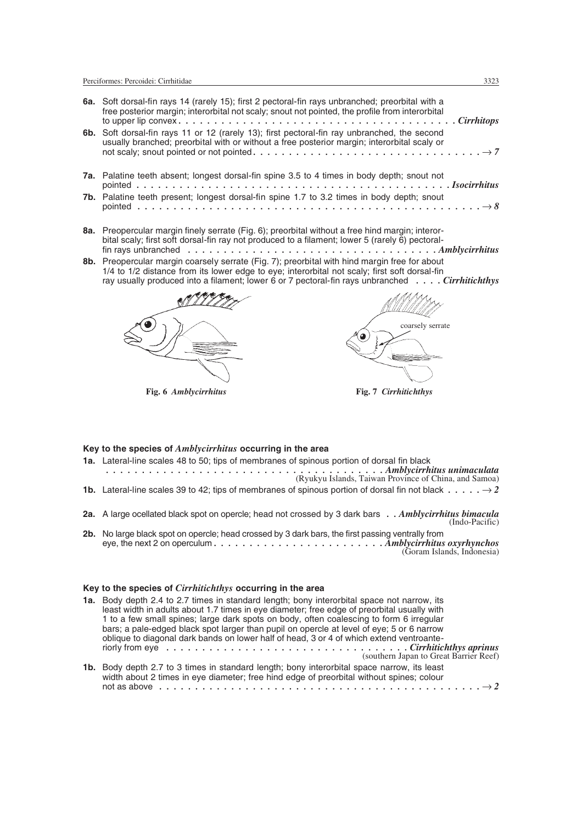| 6a. Soft dorsal-fin rays 14 (rarely 15); first 2 pectoral-fin rays unbranched; preorbital with a<br>free posterior margin; interorbital not scaly; snout not pointed, the profile from interorbital<br>6b. Soft dorsal-fin rays 11 or 12 (rarely 13); first pectoral-fin ray unbranched, the second<br>usually branched; preorbital with or without a free posterior margin; interorbital scaly or |  |
|----------------------------------------------------------------------------------------------------------------------------------------------------------------------------------------------------------------------------------------------------------------------------------------------------------------------------------------------------------------------------------------------------|--|
| 7a. Palatine teeth absent; longest dorsal-fin spine 3.5 to 4 times in body depth; snout not                                                                                                                                                                                                                                                                                                        |  |
| 7b. Palatine teeth present; longest dorsal-fin spine 1.7 to 3.2 times in body depth; snout                                                                                                                                                                                                                                                                                                         |  |

- **8a.** Preopercular margin finely serrate (Fig. 6); preorbital without a free hind margin; interorbital scaly; first soft dorsal-fin ray not produced to a filament; lower 5 (rarely 6) pectoralfin rays unbranched *. . . . . . . . . . . . . . . . . . . . . . . . . . . . . . . . . . . Amblycirrhitus*
- **8b.** Preopercular margin coarsely serrate (Fig. 7); preorbital with hind margin free for about 1/4 to 1/2 distance from its lower edge to eye; interorbital not scaly; first soft dorsal-fin ray usually produced into a filament; lower 6 or 7 pectoral-fin rays unbranched *. . . . Cirrhitichthys*



**Fig. 6** *Amblycirrhitus*



**Fig. 7** *Cirrhitichthys*

### **Key to the species of** *Amblycirrhitus* **occurring in the area**

- **1a.** Lateral-line scales 48 to 50; tips of membranes of spinous portion of dorsal fin black *. . . . . . . . . . . . . . . . . . . . . . . . . . . . . . . . . . . . . . . Amblycirrhitus unimaculata* (Ryukyu Islands, Taiwan Province of China, and Samoa)
- **1b.** Lateral-line scales 39 to 42; tips of membranes of spinous portion of dorsal fin not black  $\dots \dots \rightarrow 2$
- **2a.** A large ocellated black spot on opercle; head not crossed by 3 dark bars *. . Amblycirrhitus bimacula* (Indo-Pacific)
- **2b.** No large black spot on opercle; head crossed by 3 dark bars, the first passing ventrally from eye, the next 2 on operculum *. . . . . . . . . . . . . . . . . . . . . . . . Amblycirrhitus oxyrhynchos* (Goram Islands, Indonesia)

# **Key to the species of** *Cirrhitichthys* **occurring in the area**

| 1a. Body depth 2.4 to 2.7 times in standard length; bony interorbital space not narrow, its<br>least width in adults about 1.7 times in eye diameter; free edge of preorbital usually with<br>1 to a few small spines; large dark spots on body, often coalescing to form 6 irregular<br>bars; a pale-edged black spot larger than pupil on opercle at level of eye; 5 or 6 narrow<br>oblique to diagonal dark bands on lower half of head, 3 or 4 of which extend ventroante- |
|--------------------------------------------------------------------------------------------------------------------------------------------------------------------------------------------------------------------------------------------------------------------------------------------------------------------------------------------------------------------------------------------------------------------------------------------------------------------------------|
| <b>1b.</b> Body depth 2.7 to 3 times in standard length; bony interorbital space narrow, its least<br>width about 2 times in eye diameter; free hind edge of preorbital without spines; colour                                                                                                                                                                                                                                                                                 |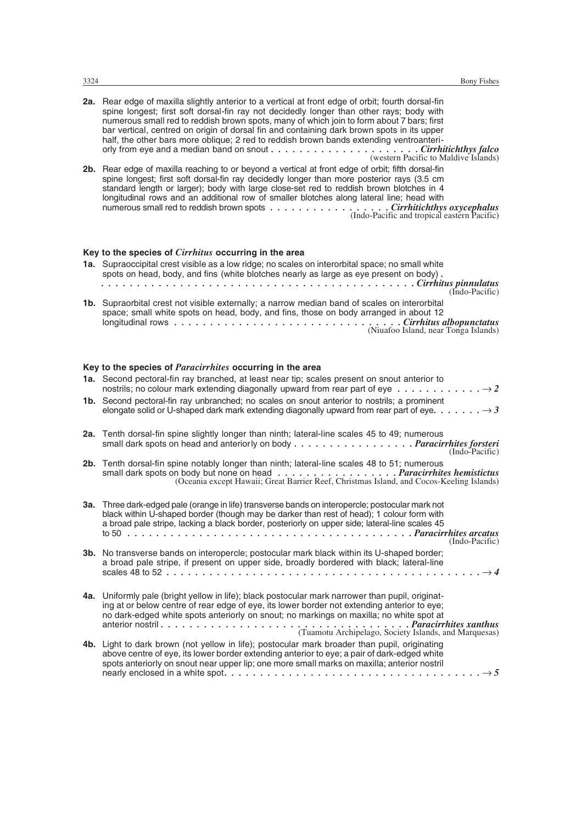| 2a. Rear edge of maxilla slightly anterior to a vertical at front edge of orbit; fourth dorsal-fin<br>spine longest; first soft dorsal-fin ray not decidedly longer than other rays; body with<br>numerous small red to reddish brown spots, many of which join to form about 7 bars; first<br>bar vertical, centred on origin of dorsal fin and containing dark brown spots in its upper<br>half, the other bars more oblique; 2 red to reddish brown bands extending ventroanteri-<br>(western Pacific to Maldive Islands) |  |
|------------------------------------------------------------------------------------------------------------------------------------------------------------------------------------------------------------------------------------------------------------------------------------------------------------------------------------------------------------------------------------------------------------------------------------------------------------------------------------------------------------------------------|--|
| 2b. Rear edge of maxilla reaching to or beyond a vertical at front edge of orbit; fifth dorsal-fin<br>spine longest; first soft dorsal-fin ray decidedly longer than more posterior rays (3.5 cm<br>standard length or larger); body with large close-set red to reddish brown blotches in 4<br>longitudinal rows and an additional row of smaller blotches along lateral line; head with<br>numerous small red to reddish brown spots Cirrhitichthys oxycephalus<br>(Indo-Pacific and tropical eastern Pacific)             |  |
| Key to the species of <i>Cirrhitus</i> occurring in the area                                                                                                                                                                                                                                                                                                                                                                                                                                                                 |  |
| 1a. Supraoccipital crest visible as a low ridge; no scales on interorbital space; no small white<br>spots on head, body, and fins (white blotches nearly as large as eye present on body).<br>(Indo-Pacific)                                                                                                                                                                                                                                                                                                                 |  |
| <b>1b.</b> Supraorbital crest not visible externally; a narrow median band of scales on interorbital<br>space; small white spots on head, body, and fins, those on body arranged in about 12                                                                                                                                                                                                                                                                                                                                 |  |
| (Niuafoo Island, near Tonga Islands)                                                                                                                                                                                                                                                                                                                                                                                                                                                                                         |  |
| Key to the species of <i>Paracirrhites</i> occurring in the area                                                                                                                                                                                                                                                                                                                                                                                                                                                             |  |
| 1a. Second pectoral-fin ray branched, at least near tip; scales present on snout anterior to<br>nostrils; no colour mark extending diagonally upward from rear part of eye $\dots \dots \dots \dots \to 2$                                                                                                                                                                                                                                                                                                                   |  |
| 1b. Second pectoral-fin ray unbranched; no scales on snout anterior to nostrils; a prominent<br>elongate solid or U-shaped dark mark extending diagonally upward from rear part of eye. $\dots \dots \rightarrow 3$                                                                                                                                                                                                                                                                                                          |  |
| 2a. Tenth dorsal-fin spine slightly longer than ninth; lateral-line scales 45 to 49; numerous<br>small dark spots on head and anteriorly on body Paracirrhites forsteri<br>(Indo-Pacific)                                                                                                                                                                                                                                                                                                                                    |  |
| 2b. Tenth dorsal-fin spine notably longer than ninth; lateral-line scales 48 to 51; numerous                                                                                                                                                                                                                                                                                                                                                                                                                                 |  |
| 3a. Three dark-edged pale (orange in life) transverse bands on interopercle; postocular mark not<br>black within U-shaped border (though may be darker than rest of head); 1 colour form with<br>a broad pale stripe, lacking a black border, posteriorly on upper side; lateral-line scales 45<br>to 50 $\ldots$                                                                                                                                                                                                            |  |
| (Indo-Pacific)<br>3b. No transverse bands on interopercle; postocular mark black within its U-shaped border;<br>a broad pale stripe, if present on upper side, broadly bordered with black; lateral-line                                                                                                                                                                                                                                                                                                                     |  |
| 4a. Uniformly pale (bright yellow in life); black postocular mark narrower than pupil, originat-<br>ing at or below centre of rear edge of eye, its lower border not extending anterior to eye;<br>no dark-edged white spots anteriorly on snout; no markings on maxilla; no white spot at                                                                                                                                                                                                                                   |  |
| 4b. Light to dark brown (not yellow in life); postocular mark broader than pupil, originating<br>above centre of eye, its lower border extending anterior to eye; a pair of dark-edged white<br>spots anteriorly on snout near upper lip; one more small marks on maxilla; anterior nostril                                                                                                                                                                                                                                  |  |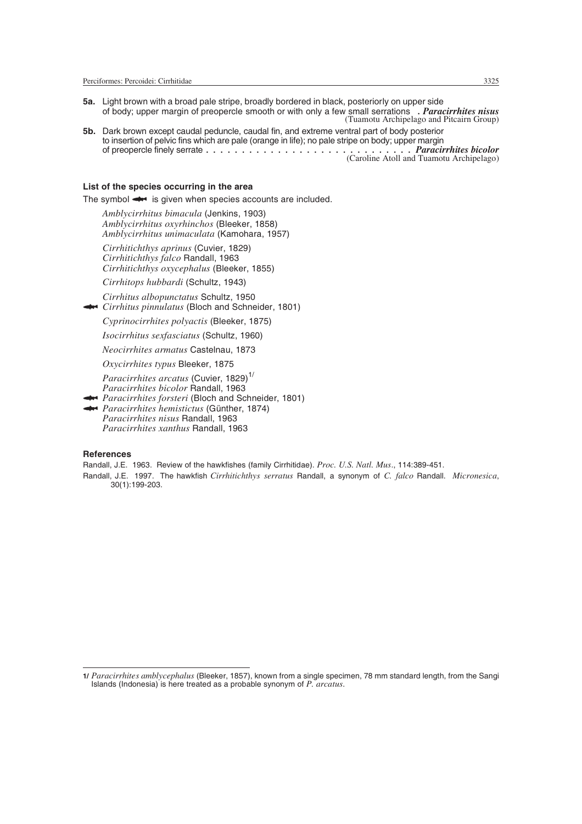- **5a.** Light brown with a broad pale stripe, broadly bordered in black, posteriorly on upper side of body; upper margin of preopercle smooth or with only a few small serrations *. Paracirrhites nisus* (Tuamotu Archipelago and Pitcairn Group)
- **5b.** Dark brown except caudal peduncle, caudal fin, and extreme ventral part of body posterior to insertion of pelvic fins which are pale (orange in life); no pale stripe on body; upper margin of preopercle finely serrate *. . . . . . . . . . . . . . . . . . . . . . . . . . . . . Paracirrhites bicolor* (Caroline Atoll and Tuamotu Archipelago)

#### **List of the species occurring in the area**

The symbol  $\leftrightarrow$  is given when species accounts are included.

*Amblycirrhitus bimacula* (Jenkins, 1903) *Amblycirrhitus oxyrhinchos* (Bleeker, 1858) *Amblycirrhitus unimaculata* (Kamohara, 1957)

*Cirrhitichthys aprinus* (Cuvier, 1829) *Cirrhitichthys falco* Randall, 1963 *Cirrhitichthys oxycephalus* (Bleeker, 1855)

*Cirrhitops hubbardi* (Schultz, 1943)

*Cirrhitus albopunctatus* Schultz, 1950 *Cirrhitus pinnulatus* (Bloch and Schneider, 1801)

*Cyprinocirrhites polyactis* (Bleeker, 1875)

*Isocirrhitus sexfasciatus* (Schultz, 1960)

*Neocirrhites armatus* Castelnau, 1873

*Oxycirrhites typus* Bleeker, 1875

*Paracirrhites arcatus* (Cuvier, 1829)<sup>1/</sup> *Paracirrhites bicolor* Randall, 1963

*Paracirrhites bicolor* Randall, 1963<br>**And Paracirrhites forsteri** (Bloch and Schneider, 1801)

*Paracirrhites forsteri* (Bloch and Schneid<br>*Paracirrhites hemistictus* (Günther, 1874) *Paracirrhites hemistictus* (Günther, 1874)<br>*Paracirrhites nisus* Randall, 1963 *Paracirrhites xanthus* Randall, 1963

#### **References**

Randall, J.E. 1963. Review of the hawkfishes (family Cirrhitidae). *Proc. U.S. Natl. Mus*., 114:389-451.

Randall, J.E. 1997. The hawkfish *Cirrhitichthys serratus* Randall, a synonym of *C. falco* Randall. *Micronesica*, 30(1):199-203.

**<sup>1/</sup>** *Paracirrhites amblycephalus* (Bleeker, 1857), known from a single specimen, 78 mm standard length, from the Sangi Islands (Indonesia) is here treated as a probable synonym of *P. arcatus*.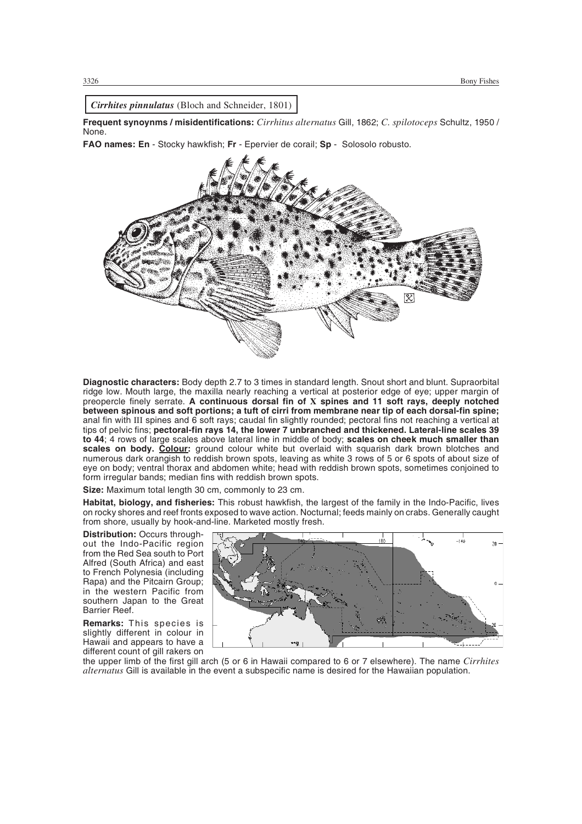*Cirrhites pinnulatus* (Bloch and Schneider, 1801)

**Frequent synoynms / misidentifications:** *Cirrhitus alternatus* Gill, 1862; *C. spilotoceps* Schultz, 1950 / None.

**FAO names: En** - Stocky hawkfish; **Fr** - Epervier de corail; **Sp** - Solosolo robusto.



**Diagnostic characters:** Body depth 2.7 to 3 times in standard length. Snout short and blunt. Supraorbital ridge low. Mouth large, the maxilla nearly reaching a vertical at posterior edge of eye; upper margin of preopercle finely serrate. **A continuous dorsal fin of X spines and 11 soft rays, deeply notched between spinous and soft portions; a tuft of cirri from membrane near tip of each dorsal-fin spine;** anal fin with III spines and 6 soft rays; caudal fin slightly rounded; pectoral fins not reaching a vertical at tips of pelvic fins; **pectoral-fin rays 14, the lower 7 unbranched and thickened. Lateral-line scales 39 to 44**; 4 rows of large scales above lateral line in middle of body; **scales on cheek much smaller than scales on body. Colour:** ground colour white but overlaid with squarish dark brown blotches and numerous dark orangish to reddish brown spots, leaving as white 3 rows of 5 or 6 spots of about size of eye on body; ventral thorax and abdomen white; head with reddish brown spots, sometimes conjoined to form irregular bands; median fins with reddish brown spots.

**Size:** Maximum total length 30 cm, commonly to 23 cm.

**Habitat, biology, and fisheries:** This robust hawkfish, the largest of the family in the Indo-Pacific, lives on rocky shores and reef fronts exposed to wave action. Nocturnal; feeds mainly on crabs. Generally caught from shore, usually by hook-and-line. Marketed mostly fresh.

**Distribution:** Occurs throughout the Indo-Pacific region from the Red Sea south to Port Alfred (South Africa) and east to French Polynesia (including Rapa) and the Pitcairn Group; in the western Pacific from southern Japan to the Great Barrier Reef.

**Remarks:** This species is slightly different in colour in Hawaii and appears to have a different count of gill rakers on



the upper limb of the first gill arch (5 or 6 in Hawaii compared to 6 or 7 elsewhere). The name *Cirrhites alternatus* Gill is available in the event a subspecific name is desired for the Hawaiian population.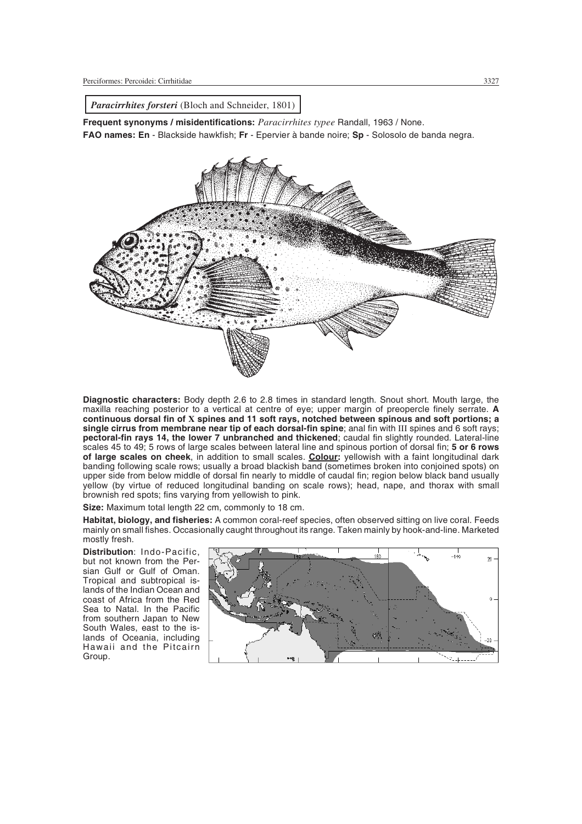*Paracirrhites forsteri* (Bloch and Schneider, 1801)

**Frequent synonyms / misidentifications:** *Paracirrhites typee* Randall, 1963 / None. **FAO names: En** - Blackside hawkfish; **Fr** - Epervier à bande noire; **Sp** - Solosolo de banda negra.



**Diagnostic characters:** Body depth 2.6 to 2.8 times in standard length. Snout short. Mouth large, the maxilla reaching posterior to a vertical at centre of eye; upper margin of preopercle finely serrate. **A continuous dorsal fin of X spines and 11 soft rays, notched between spinous and soft portions; a** single cirrus from membrane near tip of each dorsal-fin spine; anal fin with III spines and 6 soft rays; **pectoral-fin rays 14, the lower 7 unbranched and thickened**; caudal fin slightly rounded. Lateral-line scales 45 to 49; 5 rows of large scales between lateral line and spinous portion of dorsal fin; **5 or 6 rows of large scales on cheek**, in addition to small scales. **Colour:** yellowish with a faint longitudinal dark banding following scale rows; usually a broad blackish band (sometimes broken into conjoined spots) on upper side from below middle of dorsal fin nearly to middle of caudal fin; region below black band usually yellow (by virtue of reduced longitudinal banding on scale rows); head, nape, and thorax with small brownish red spots; fins varying from yellowish to pink.

**Size:** Maximum total length 22 cm, commonly to 18 cm.

**Habitat, biology, and fisheries:** A common coral-reef species, often observed sitting on live coral. Feeds mainly on small fishes. Occasionally caught throughout its range. Taken mainly by hook-and-line. Marketed mostly fresh.

**Distribution**: Indo-Pacific, but not known from the Persian Gulf or Gulf of Oman. Tropical and subtropical islands of the Indian Ocean and coast of Africa from the Red Sea to Natal. In the Pacific from southern Japan to New South Wales, east to the islands of Oceania, including Hawaii and the Pitcairn Group.

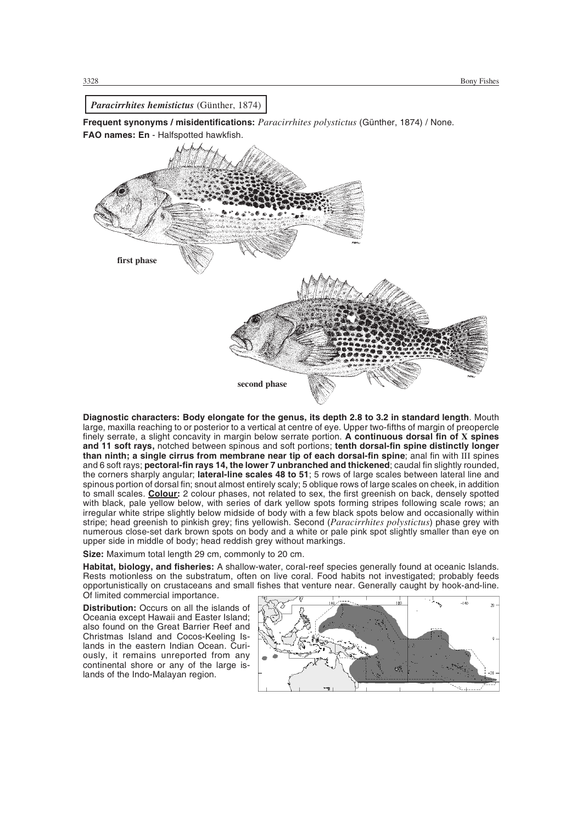

**Diagnostic characters: Body elongate for the genus, its depth 2.8 to 3.2 in standard length**. Mouth large, maxilla reaching to or posterior to a vertical at centre of eye. Upper two-fifths of margin of preopercle finely serrate, a slight concavity in margin below serrate portion. **A continuous dorsal fin of X spines and 11 soft rays,** notched between spinous and soft portions; **tenth dorsal-fin spine distinctly longer than ninth; a single cirrus from membrane near tip of each dorsal-fin spine**; anal fin with III spines and 6 soft rays; **pectoral-fin rays 14, the lower 7 unbranched and thickened**; caudal fin slightly rounded, the corners sharply angular; **lateral-line scales 48 to 51**; 5 rows of large scales between lateral line and spinous portion of dorsal fin; snout almost entirely scaly; 5 oblique rows of large scales on cheek, in addition to small scales. **Colour:** 2 colour phases, not related to sex, the first greenish on back, densely spotted with black, pale yellow below, with series of dark yellow spots forming stripes following scale rows; an irregular white stripe slightly below midside of body with a few black spots below and occasionally within stripe; head greenish to pinkish grey; fins yellowish. Second (*Paracirrhites polystictus*) phase grey with numerous close-set dark brown spots on body and a white or pale pink spot slightly smaller than eye on upper side in middle of body; head reddish grey without markings.

**Size:** Maximum total length 29 cm, commonly to 20 cm.

**Habitat, biology, and fisheries:** A shallow-water, coral-reef species generally found at oceanic Islands. Rests motionless on the substratum, often on live coral. Food habits not investigated; probably feeds opportunistically on crustaceans and small fishes that venture near. Generally caught by hook-and-line. Of limited commercial importance.

**Distribution:** Occurs on all the islands of Oceania except Hawaii and Easter Island; also found on the Great Barrier Reef and Christmas Island and Cocos-Keeling Islands in the eastern Indian Ocean. Curiously, it remains unreported from any continental shore or any of the large islands of the Indo-Malayan region.

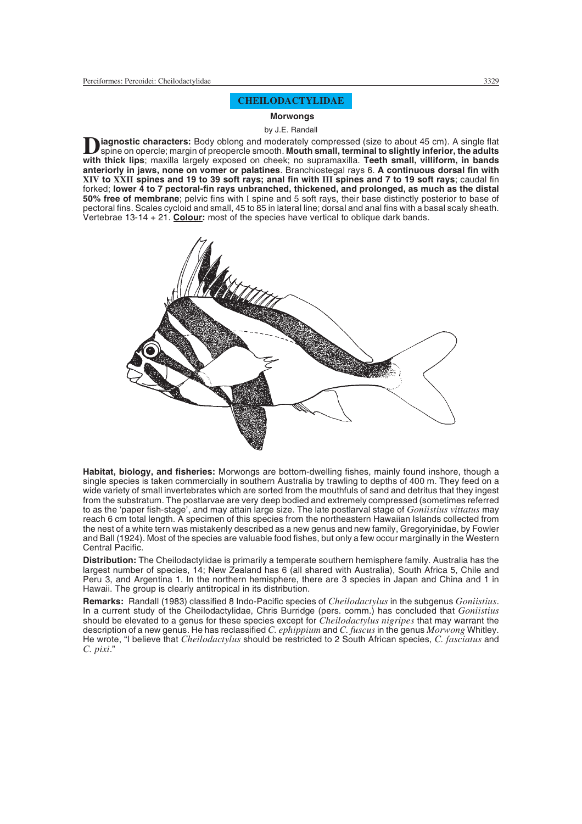# **CHEILODACTYLIDAE**

#### **Morwongs**

#### by J.E. Randall

**D** iagnostic characters: Body oblong and moderately compressed (size to about 45 cm). A single flat<br>spine on opercle; margin of preopercle smooth. Mouth small, terminal to slightly inferior, the adults<br>with thick line, mo **with thick lips**; maxilla largely exposed on cheek; no supramaxilla. **Teeth small, villiform, in bands anteriorly in jaws, none on vomer or palatines**. Branchiostegal rays 6. **A continuous dorsal fin with XIV to XXII spines and 19 to 39 soft rays; anal fin with III spines and 7 to 19 soft rays**; caudal fin forked; **lower 4 to 7 pectoral-fin rays unbranched, thickened, and prolonged, as much as the distal 50% free of membrane**; pelvic fins with I spine and 5 soft rays, their base distinctly posterior to base of pectoral fins. Scales cycloid and small, 45 to 85 in lateral line; dorsal and anal fins with a basal scaly sheath. Vertebrae 13-14 + 21. **Colour:** most of the species have vertical to oblique dark bands.



**Habitat, biology, and fisheries:** Morwongs are bottom-dwelling fishes, mainly found inshore, though a single species is taken commercially in southern Australia by trawling to depths of 400 m. They feed on a wide variety of small invertebrates which are sorted from the mouthfuls of sand and detritus that they ingest from the substratum. The postlarvae are very deep bodied and extremely compressed (sometimes referred to as the 'paper fish-stage', and may attain large size. The late postlarval stage of *Goniistius vittatus* may reach 6 cm total length. A specimen of this species from the northeastern Hawaiian Islands collected from the nest of a white tern was mistakenly described as a new genus and new family, Gregoryinidae, by Fowler and Ball (1924). Most of the species are valuable food fishes, but only a few occur marginally in the Western Central Pacific.

**Distribution:** The Cheilodactylidae is primarily a temperate southern hemisphere family. Australia has the largest number of species, 14; New Zealand has 6 (all shared with Australia), South Africa 5, Chile and Peru 3, and Argentina 1. In the northern hemisphere, there are 3 species in Japan and China and 1 in Hawaii. The group is clearly antitropical in its distribution.

**Remarks:** Randall (1983) classified 8 Indo-Pacific species of *Cheilodactylus* in the subgenus *Goniistius*. In a current study of the Cheilodactylidae, Chris Burridge (pers. comm.) has concluded that *Goniistius* should be elevated to a genus for these species except for *Cheilodactylus nigripes* that may warrant the description of a new genus. He has reclassified *C. ephippium* and *C. fuscus* in the genus *Morwong* Whitley. He wrote, "I believe that *Cheilodactylus* should be restricted to 2 South African species, *C. fasciatus* and *C. pixi*."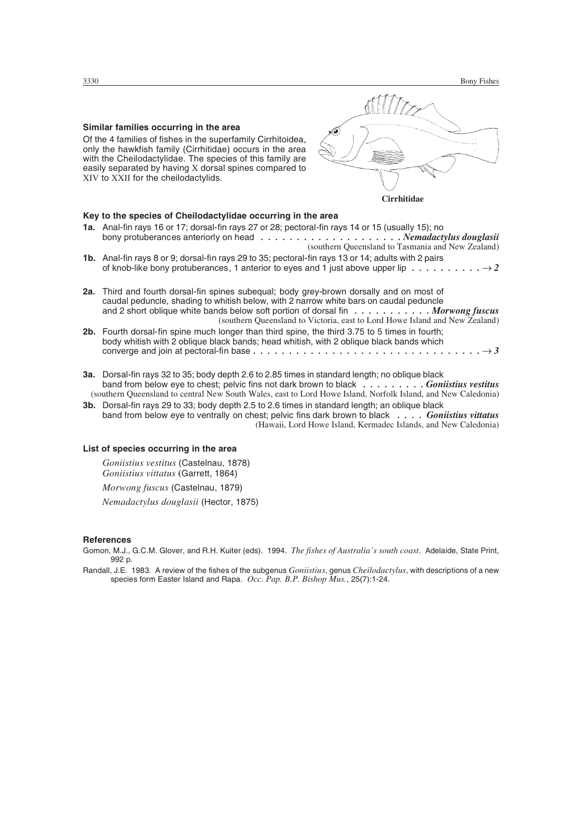### **Similar families occurring in the area**

Of the 4 families of fishes in the superfamily Cirrhitoidea, only the hawkfish family (Cirrhitidae) occurs in the area with the Cheilodactylidae. The species of this family are easily separated by having X dorsal spines compared to XIV to XXII for the cheilodactylids.

# l o **Cirrhitidae**

#### **Key to the species of Cheilodactylidae occurring in the area** 1**a. Anal-fin roys 16 or 17; dorsal-fin**

| <b>1a.</b> Anal-fin rays 16 or 17; dorsal-fin rays 27 or 28; pectoral-fin rays 14 or 15 (usually 15); no<br>bony protuberances anteriorly on head $\dots \dots \dots \dots \dots \dots \dots$ . Nemadactylus douglasii<br>(southern Queensland to Tasmania and New Zealand)                                                                                 |
|-------------------------------------------------------------------------------------------------------------------------------------------------------------------------------------------------------------------------------------------------------------------------------------------------------------------------------------------------------------|
| 1b. Anal-fin rays 8 or 9; dorsal-fin rays 29 to 35; pectoral-fin rays 13 or 14; adults with 2 pairs<br>of knob-like bony protuberances, 1 anterior to eyes and 1 just above upper lip $\dots \dots \dots \longrightarrow 2$                                                                                                                                 |
| <b>2a.</b> Third and fourth dorsal-fin spines subegual; body grey-brown dorsally and on most of<br>caudal peduncle, shading to whitish below, with 2 narrow white bars on caudal peduncle<br>and 2 short oblique white bands below soft portion of dorsal fin Morwong fuscus<br>(southern Queensland to Victoria, east to Lord Howe Island and New Zealand) |
| 2h Equith dorsal-fin spine much longer than third spine the third 3.75 to 5 times in fourth.                                                                                                                                                                                                                                                                |

- **2b.** Fourth dorsal-fin spine much longer than third spine, the third 3.75 to 5 times in fourth; body whitish with 2 oblique black bands; head whitish, with 2 oblique black bands which converge and join at pectoral-fin base *................................ 3*
- **3a.** Dorsal-fin rays 32 to 35; body depth 2.6 to 2.85 times in standard length; no oblique black band from below eye to chest; pelvic fins not dark brown to black *. . . . . . . . . Goniistius vestitus* (southern Queensland to central New South Wales, east to Lord Howe Island, Norfolk Island, and New Caledonia)
- **3b.** Dorsal-fin rays 29 to 33; body depth 2.5 to 2.6 times in standard length; an oblique black band from below eye to ventrally on chest; pelvic fins dark brown to black *. . . . Goniistius vittatus* (Hawaii, Lord Howe Island, Kermadec Islands, and New Caledonia)

#### **List of species occurring in the area**

*Goniistius vestitus* (Castelnau, 1878) *Goniistius vittatus* **(**Garrett, 1864)

*Morwong fuscus* (Castelnau, 1879)

*Nemadactylus douglasii* (Hector, 1875)

### **References**

Gomon, M.J., G.C.M. Glover, and R.H. Kuiter (eds). 1994. *The fishes of Australia's south coast*. Adelaide, State Print, 992 p.

Randall, J.E. 1983. A review of the fishes of the subgenus *Goniistius*, genus *Cheilodactylus*, with descriptions of a new species form Easter Island and Rapa. *Occ. Pap. B.P. Bishop Mus.*, 25(7):1-24.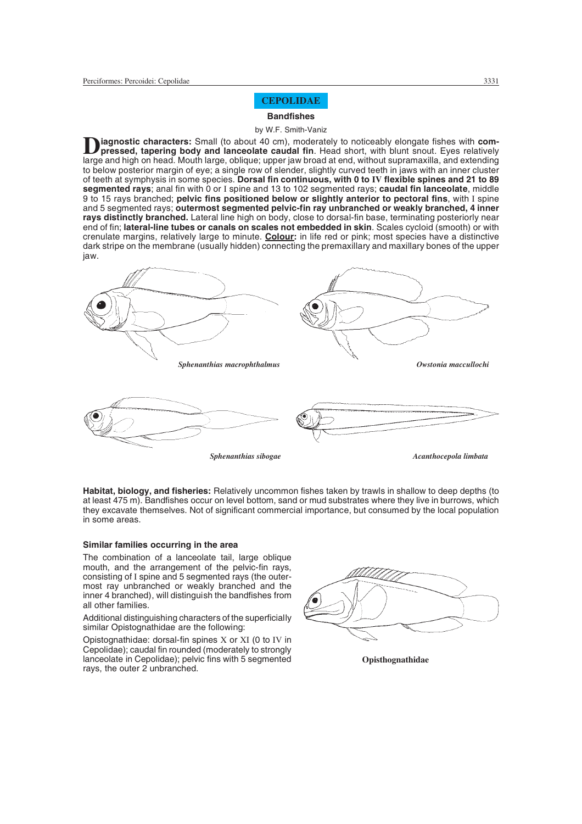# **CEPOLIDAE**

# **Bandfishes**

#### by W.F. Smith-Vaniz

**D** iagnostic characters: Small (to about 40 cm), moderately to noticeably elongate fishes with compressed, tapering body and lanceolate caudal fin. Head short, with blunt snout. Eyes relatively large and high on head. Mouth large, oblique; upper jaw broad at end, without supramaxilla, and extending to below posterior margin of eye; a single row of slender, slightly curved teeth in jaws with an inner cluster of teeth at symphysis in some species. **Dorsal fin continuous, with 0 to IV flexible spines and 21 to 89 segmented rays**; anal fin with 0 or I spine and 13 to 102 segmented rays; **caudal fin lanceolate**, middle 9 to 15 rays branched; **pelvic fins positioned below or slightly anterior to pectoral fins**, with I spine and 5 segmented rays; **outermost segmented pelvic-fin ray unbranched or weakly branched, 4 inner rays distinctly branched.** Lateral line high on body, close to dorsal-fin base, terminating posteriorly near end of fin; **lateral-line tubes or canals on scales not embedded in skin**. Scales cycloid (smooth) or with crenulate margins, relatively large to minute. **Colour:** in life red or pink; most species have a distinctive dark stripe on the membrane (usually hidden) connecting the premaxillary and maxillary bones of the upper jaw.



**Habitat, biology, and fisheries:** Relatively uncommon fishes taken by trawls in shallow to deep depths (to at least 475 m). Bandfishes occur on level bottom, sand or mud substrates where they live in burrows, which they excavate themselves. Not of significant commercial importance, but consumed by the local population in some areas.

### **Similar families occurring in the area**

The combination of a lanceolate tail, large oblique mouth, and the arrangement of the pelvic-fin rays, consisting of I spine and 5 segmented rays (the outermost ray unbranched or weakly branched and the inner 4 branched), will distinguish the bandfishes from all other families.

Additional distinguishing characters of the superficially similar Opistognathidae are the following:

Opistognathidae: dorsal-fin spines X or XI (0 to IV in Cepolidae); caudal fin rounded (moderately to strongly lanceolate in Cepolidae); pelvic fins with 5 segmented rays, the outer 2 unbranched.



**Opisthognathidae**